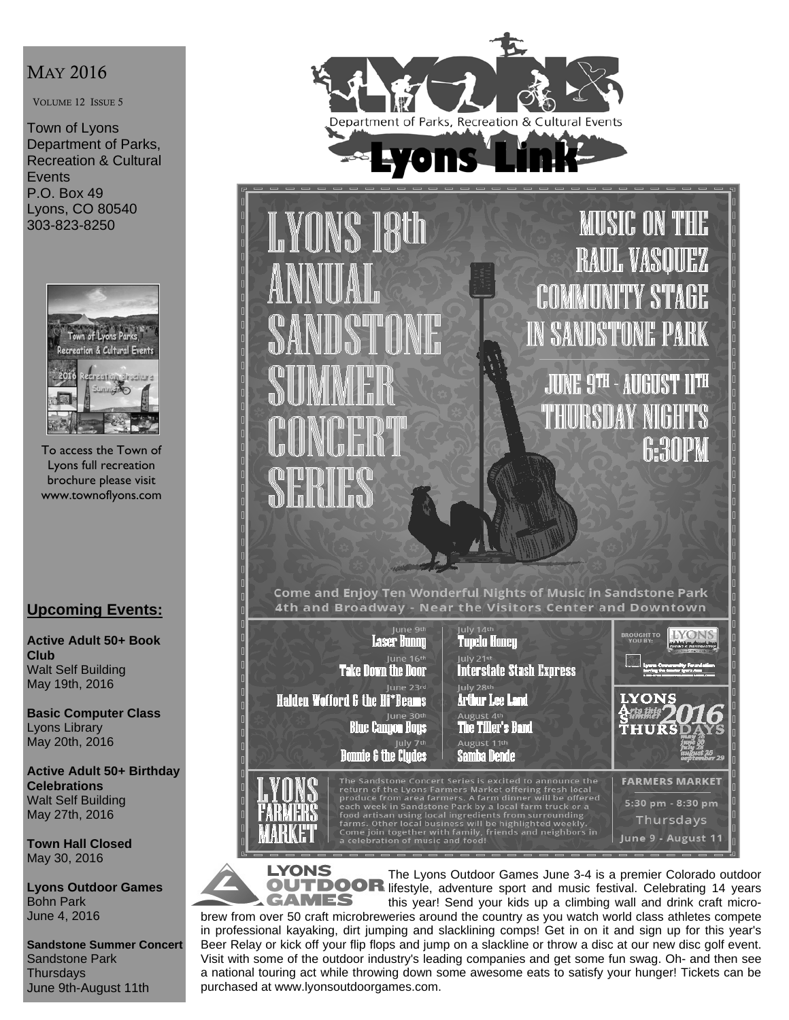# MAY 2016

VOLUME 12 ISSUE 5

Town of Lyons Department of Parks, Recreation & Cultural **Events** P.O. Box 49 Lyons, CO 80540 303-823-8250



To access the Town of Lyons full recreation brochure please visit www.townoflyons.com

## **Upcoming Events:**

**Active Adult 50+ Book Club**  Walt Self Building May 19th, 2016

**Basic Computer Class**  Lyons Library May 20th, 2016

**Active Adult 50+ Birthday Celebrations**  Walt Self Building May 27th, 2016

**Town Hall Closed**  May 30, 2016

**Lyons Outdoor Games**  Bohn Park June 4, 2016

**Sandstone Summer Concert**  Sandstone Park **Thursdavs** June 9th-August 11th



**MUSIC ON THE I.YONS 18th** BAUL VASOUEZ **COMMUNITY STA IN SANDSTONE PARK** JUNE 9TH - AUGUST 11TH THURSDAY 6:30PM SEM Come and Enjoy Ten Wonderful Nights of Music in Sandstone Park 4th and Broadway - Near the Visitors Center and Downtown July 14th Laser Hunnu Tupelo Honey June 16th **Interstate Stash Express Take Down the Door** June 23rd July 28th Halden Wofford & the Hi\*Beams **LYONS** 

June 30th<br>Blue Canyon Hoys

**Bonnie & the Clydes** 

Arthur Lee Land August 4<sup>th</sup> The Tiller's Band August 11th

The Sandstone Concert Series is excited to announce the<br>return of the Lyons Farmers Market offering fresh local<br>produce from area farmers. A farm dinner will be offered<br>each week in Sandstone Park by a local farm truck or

Samba Dende

**YONS GAMES** 

The Lyons Outdoor Games June 3-4 is a premier Colorado outdoor OUTDOOR lifestyle, adventure sport and music festival. Celebrating 14 years this year! Send your kids up a climbing wall and drink craft micro-

THIR

**FARMERS MARKET** 5:30 pm - 8:30 pm Thursdays June 9 - August 11

brew from over 50 craft microbreweries around the country as you watch world class athletes compete in professional kayaking, dirt jumping and slacklining comps! Get in on it and sign up for this year's Beer Relay or kick off your flip flops and jump on a slackline or throw a disc at our new disc golf event. Visit with some of the outdoor industry's leading companies and get some fun swag. Oh- and then see a national touring act while throwing down some awesome eats to satisfy your hunger! Tickets can be purchased at www.lyonsoutdoorgames.com.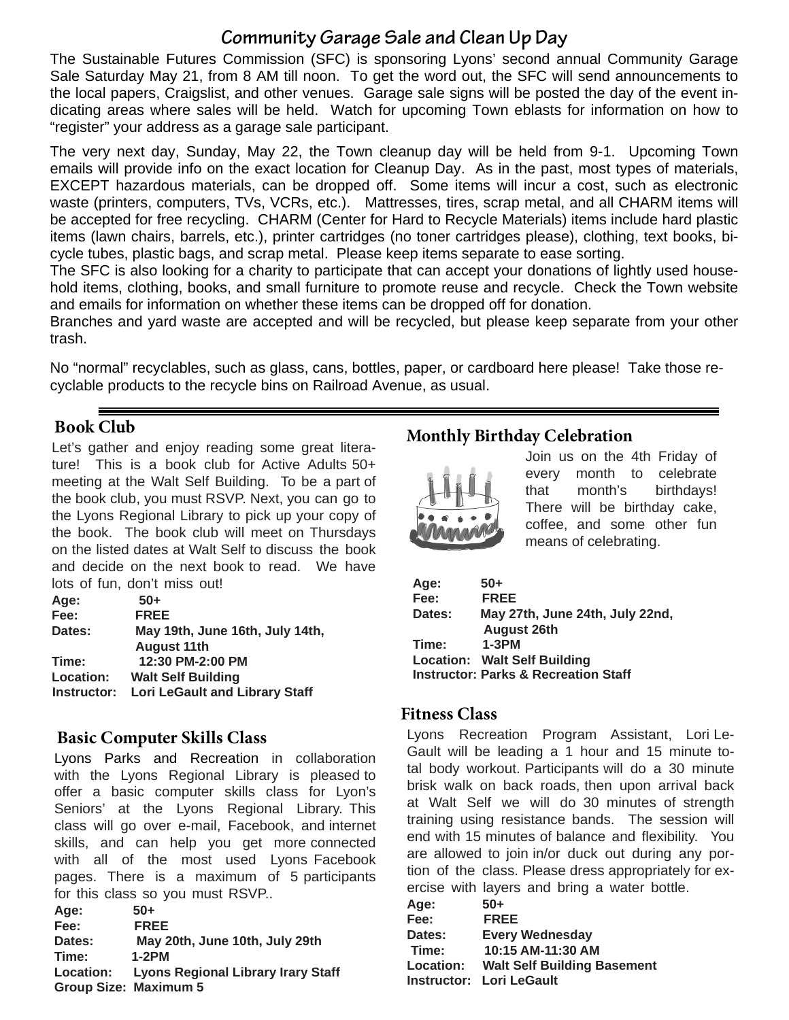# **Community Garage Sale and Clean Up Day**

The Sustainable Futures Commission (SFC) is sponsoring Lyons' second annual Community Garage Sale Saturday May 21, from 8 AM till noon. To get the word out, the SFC will send announcements to the local papers, Craigslist, and other venues. Garage sale signs will be posted the day of the event indicating areas where sales will be held. Watch for upcoming Town eblasts for information on how to "register" your address as a garage sale participant.

The very next day, Sunday, May 22, the Town cleanup day will be held from 9-1. Upcoming Town emails will provide info on the exact location for Cleanup Day. As in the past, most types of materials, EXCEPT hazardous materials, can be dropped off. Some items will incur a cost, such as electronic waste (printers, computers, TVs, VCRs, etc.). Mattresses, tires, scrap metal, and all CHARM items will be accepted for free recycling. CHARM (Center for Hard to Recycle Materials) items include hard plastic items (lawn chairs, barrels, etc.), printer cartridges (no toner cartridges please), clothing, text books, bicycle tubes, plastic bags, and scrap metal. Please keep items separate to ease sorting.

The SFC is also looking for a charity to participate that can accept your donations of lightly used household items, clothing, books, and small furniture to promote reuse and recycle. Check the Town website and emails for information on whether these items can be dropped off for donation.

Branches and yard waste are accepted and will be recycled, but please keep separate from your other trash.

No "normal" recyclables, such as glass, cans, bottles, paper, or cardboard here please! Take those recyclable products to the recycle bins on Railroad Avenue, as usual.

## **Book Club**

Let's gather and enjoy reading some great literature! This is a book club for Active Adults 50+ meeting at the Walt Self Building. To be a part of the book club, you must RSVP. Next, you can go to the Lyons Regional Library to pick up your copy of the book. The book club will meet on Thursdays on the listed dates at Walt Self to discuss the book and decide on the next book to read. We have lots of fun, don't miss out!

| Age:        | $50+$                                 |
|-------------|---------------------------------------|
| Fee:        | <b>FREE</b>                           |
| Dates:      | May 19th, June 16th, July 14th,       |
|             | <b>August 11th</b>                    |
| Time:       | 12:30 PM-2:00 PM                      |
| Location:   | <b>Walt Self Building</b>             |
| Instructor: | <b>Lori LeGault and Library Staff</b> |
|             |                                       |

## **Basic Computer Skills Class**

Lyons Parks and Recreation in collaboration with the Lyons Regional Library is pleased to offer a basic computer skills class for Lyon's Seniors' at the Lyons Regional Library. This class will go over e-mail, Facebook, and internet skills, and can help you get more connected with all of the most used Lyons Facebook pages. There is a maximum of 5 participants for this class so you must RSVP..

**Age: 50+ Fee: FREE Dates: May 20th, June 10th, July 29th Time: 1-2PM Location: Lyons Regional Library Irary Staff Group Size: Maximum 5**

# **Monthly Birthday Celebration**



Join us on the 4th Friday of every month to celebrate that month's birthdays! There will be birthday cake, coffee, and some other fun means of celebrating.

| Age:   | $50+$                                           |
|--------|-------------------------------------------------|
| Fee:   | <b>FREE</b>                                     |
| Dates: | May 27th, June 24th, July 22nd,                 |
|        | <b>August 26th</b>                              |
| Time:  | $1-3PM$                                         |
|        | <b>Location: Walt Self Building</b>             |
|        | <b>Instructor: Parks &amp; Recreation Staff</b> |

### **Fitness Class**

Lyons Recreation Program Assistant, Lori Le-Gault will be leading a 1 hour and 15 minute total body workout. Participants will do a 30 minute brisk walk on back roads, then upon arrival back at Walt Self we will do 30 minutes of strength training using resistance bands. The session will end with 15 minutes of balance and flexibility. You are allowed to join in/or duck out during any portion of the class. Please dress appropriately for exercise with layers and bring a water bottle.

| $50+$                              |
|------------------------------------|
| <b>FREE</b>                        |
| <b>Every Wednesday</b>             |
| 10:15 AM-11:30 AM                  |
| <b>Walt Self Building Basement</b> |
| <b>Instructor: Lori LeGault</b>    |
|                                    |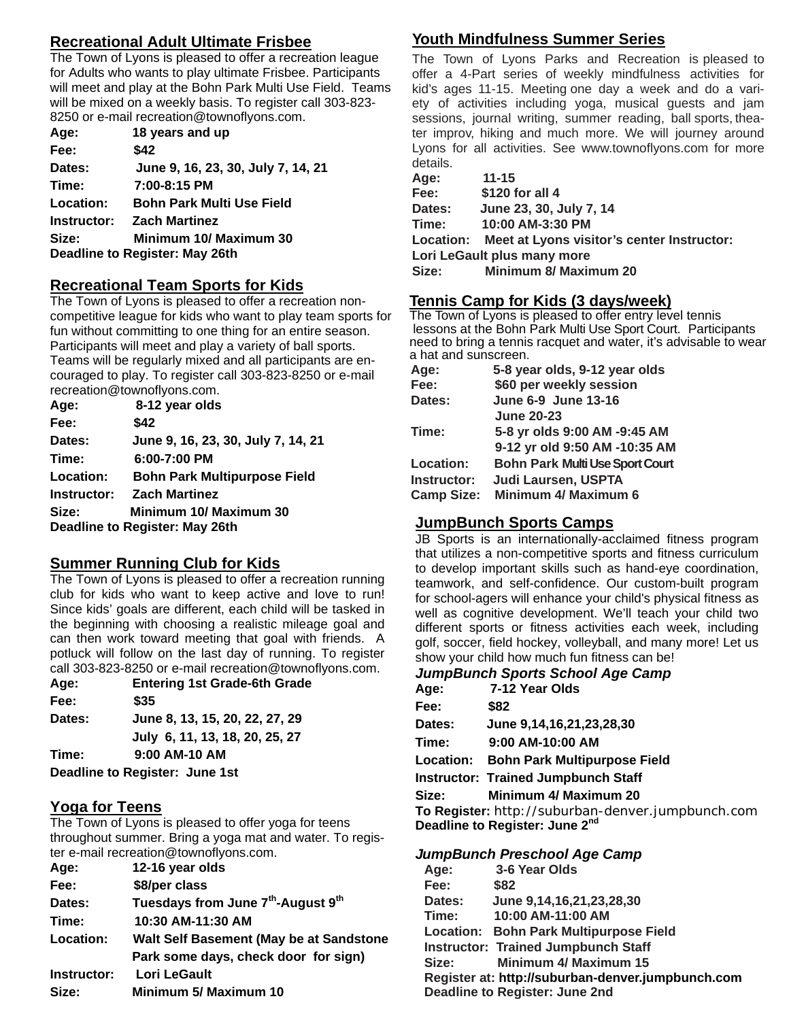## **Recreational Adult Ultimate Frisbee**

The Town of Lyons is pleased to offer a recreation league for Adults who wants to play ultimate Frisbee. Participants will meet and play at the Bohn Park Multi Use Field. Teams will be mixed on a weekly basis. To register call 303-823- 8250 or e-mail recreation@townoflyons.com.

| Age:        | 18 years and up                    |
|-------------|------------------------------------|
| Fee:        | \$42                               |
| Dates:      | June 9, 16, 23, 30, July 7, 14, 21 |
| Time:       | 7:00-8:15 PM                       |
| Location:   | <b>Bohn Park Multi Use Field</b>   |
| Instructor: | <b>Zach Martinez</b>               |
| Size:       | Minimum 10/ Maximum 30             |
|             | Deadline to Register: May 26th     |
|             |                                    |

#### **Recreational Team Sports for Kids**

The Town of Lyons is pleased to offer a recreation noncompetitive league for kids who want to play team sports for fun without committing to one thing for an entire season. Participants will meet and play a variety of ball sports. Teams will be regularly mixed and all participants are encouraged to play. To register call 303-823-8250 or e-mail recreation@townoflyons.com.

| Age:      | 8-12 year olds                      |
|-----------|-------------------------------------|
| Fee:      | \$42                                |
| Dates:    | June 9, 16, 23, 30, July 7, 14, 21  |
| Time:     | $6:00 - 7:00$ PM                    |
| Location: | <b>Bohn Park Multipurpose Field</b> |
|           | <b>Instructor: Zach Martinez</b>    |
| Size:     | Minimum 10/ Maximum 30              |
|           | Deadline to Register: May 26th      |

### **Summer Running Club for Kids**

The Town of Lyons is pleased to offer a recreation running club for kids who want to keep active and love to run! Since kids' goals are different, each child will be tasked in the beginning with choosing a realistic mileage goal and can then work toward meeting that goal with friends. A potluck will follow on the last day of running. To register call 303-823-8250 or e-mail recreation@townoflyons.com.

| Age:   | <b>Entering 1st Grade-6th Grade</b> |
|--------|-------------------------------------|
| Fee:   | \$35                                |
| Dates: | June 8, 13, 15, 20, 22, 27, 29      |
|        | July 6, 11, 13, 18, 20, 25, 27      |
| Time:  | 9:00 AM-10 AM                       |
|        | Deadline to Register: June 1st      |

#### **Yoga for Teens**

The Town of Lyons is pleased to offer yoga for teens throughout summer. Bring a yoga mat and water. To register e-mail recreation@townoflyons.com.

| Age:        | 12-16 year olds                                            |
|-------------|------------------------------------------------------------|
| Fee:        | \$8/per class                                              |
| Dates:      | Tuesdays from June 7 <sup>th</sup> -August 9 <sup>th</sup> |
| Time:       | 10:30 AM-11:30 AM                                          |
| Location:   | Walt Self Basement (May be at Sandstone                    |
|             | Park some days, check door for sign)                       |
| Instructor: | Lori LeGault                                               |
| Size:       | <b>Minimum 5/ Maximum 10</b>                               |
|             |                                                            |

## **Youth Mindfulness Summer Series**

The Town of Lyons Parks and Recreation is pleased to offer a 4-Part series of weekly mindfulness activities for kid's ages 11-15. Meeting one day a week and do a variety of activities including yoga, musical guests and jam sessions, journal writing, summer reading, ball sports, theater improv, hiking and much more. We will journey around Lyons for all activities. See www.townoflyons.com for more details.

| Age:   | $11 - 15$                                            |
|--------|------------------------------------------------------|
| Fee:   | \$120 for all 4                                      |
| Dates: | June 23, 30, July 7, 14                              |
| Time:  | 10:00 AM-3:30 PM                                     |
|        | Location: Meet at Lyons visitor's center Instructor: |
|        | Lori LeGault plus many more                          |
| Size:  | <b>Minimum 8/ Maximum 20</b>                         |

#### **Tennis Camp for Kids (3 days/week)**

The Town of Lyons is pleased to offer entry level tennis lessons at the Bohn Park Multi Use Sport Court. Participants need to bring a tennis racquet and water, it's advisable to wear a hat and sunscreen.

| 5-8 year olds, 9-12 year olds          |
|----------------------------------------|
| \$60 per weekly session                |
| June 6-9 June 13-16                    |
| <b>June 20-23</b>                      |
| 5-8 yr olds 9:00 AM -9:45 AM           |
| 9-12 yr old 9:50 AM -10:35 AM          |
| <b>Bohn Park Multi Use Sport Court</b> |
| <b>Judi Laursen, USPTA</b>             |
| Minimum 4/ Maximum 6                   |
|                                        |

### **JumpBunch Sports Camps**

JB Sports is an internationally-acclaimed fitness program that utilizes a non-competitive sports and fitness curriculum to develop important skills such as hand-eye coordination, teamwork, and self-confidence. Our custom-built program for school-agers will enhance your child's physical fitness as well as cognitive development. We'll teach your child two different sports or fitness activities each week, including golf, soccer, field hockey, volleyball, and many more! Let us show your child how much fun fitness can be!

#### *JumpBunch Sports School Age Camp*

| Age:             | 7-12 Year Olds                                    |
|------------------|---------------------------------------------------|
| Fee:             | \$82                                              |
| Dates:           | June 9,14,16,21,23,28,30                          |
| Time:            | 9:00 AM-10:00 AM                                  |
| <b>Location:</b> | <b>Bohn Park Multipurpose Field</b>               |
|                  | <b>Instructor: Trained Jumpbunch Staff</b>        |
| Size:            | Minimum 4/ Maximum 20                             |
|                  | To Register: http://suburban-denver.jumpbunch.com |
|                  | Deadline to Register: June 2 <sup>nd</sup>        |

#### *JumpBunch Preschool Age Camp*

| Age:   | 3-6 Year Olds                                     |
|--------|---------------------------------------------------|
| Fee:   | \$82                                              |
| Dates: | June 9,14,16,21,23,28,30                          |
| Time:  | 10:00 AM-11:00 AM                                 |
|        | Location: Bohn Park Multipurpose Field            |
|        | <b>Instructor: Trained Jumpbunch Staff</b>        |
| Size:  | <b>Minimum 4/ Maximum 15</b>                      |
|        | Register at: http://suburban-denver.jumpbunch.com |
|        | Deadline to Register: June 2nd                    |